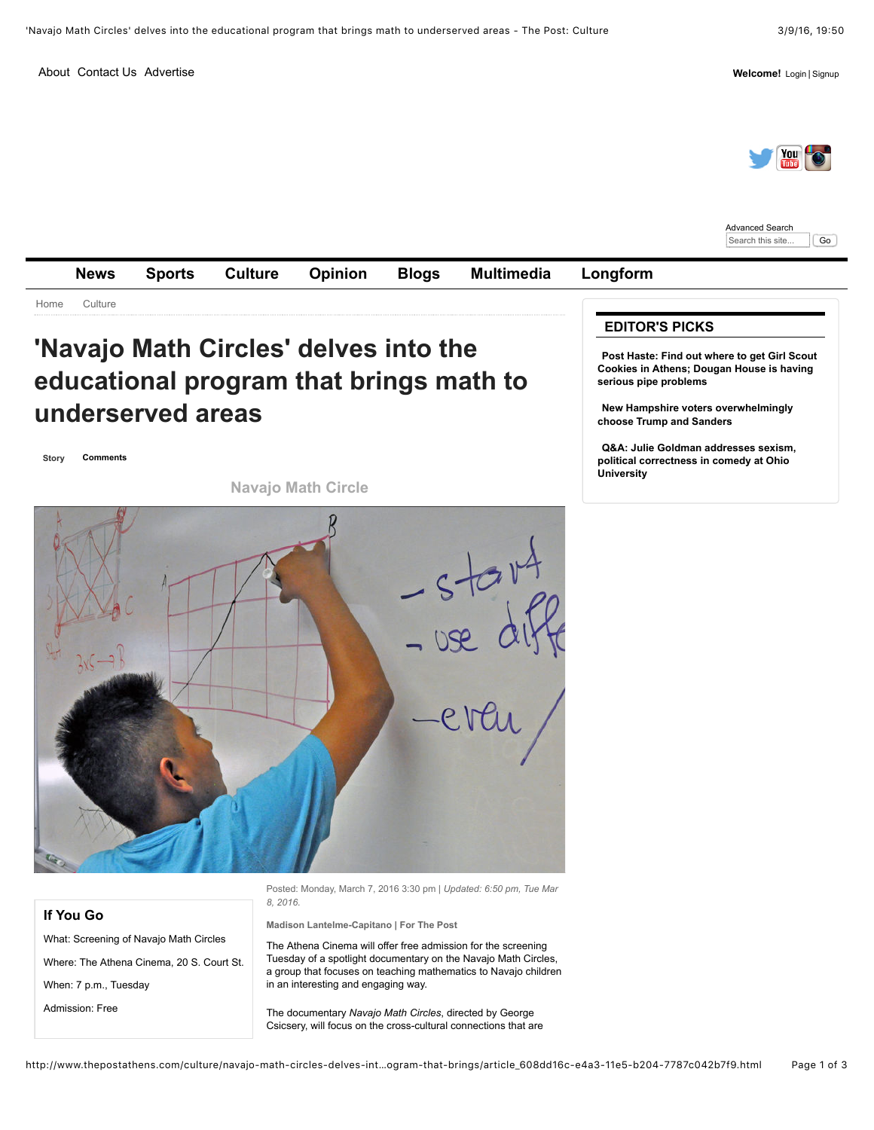[About](http://www.thepostathens.com/site/about.html) [Contact Us](http://www.thepostathens.com/site/contact.html) [Advertise](http://www.thepostathens.com/site/advertise.html) **Welcome!** [Login](javascript:void(0)) | [Signup](https://thepostathens-dot-com.bloxcms-ny1.com/users/signup/?referer_url=/culture/navajo-math-circles-delves-into-the-educational-program-that-brings/article_608dd16c-e4a3-11e5-b204-7787c042b7f9.html)



[Advanced Search](http://www.thepostathens.com/search?t=article&l=25&d1=1+year+ago&f=html&advanced=true) Search this site... | Go



**If You Go**

What: Screening of Navajo Math Circles

Where: The Athena Cinema, 20 S. Court St. When: 7 p.m., Tuesday

Admission: Free

Posted: Monday, March 7, 2016 3:30 pm | *Updated: 6:50 pm, Tue Mar 8, 2016.*

**Madison Lantelme-Capitano | For The Post**

The Athena Cinema will offer free admission for the screening Tuesday of a spotlight documentary on the Navajo Math Circles, a group that focuses on teaching mathematics to Navajo children in an interesting and engaging way.

The documentary *Navajo Math Circles*, directed by George Csicsery, will focus on the cross-cultural connections that are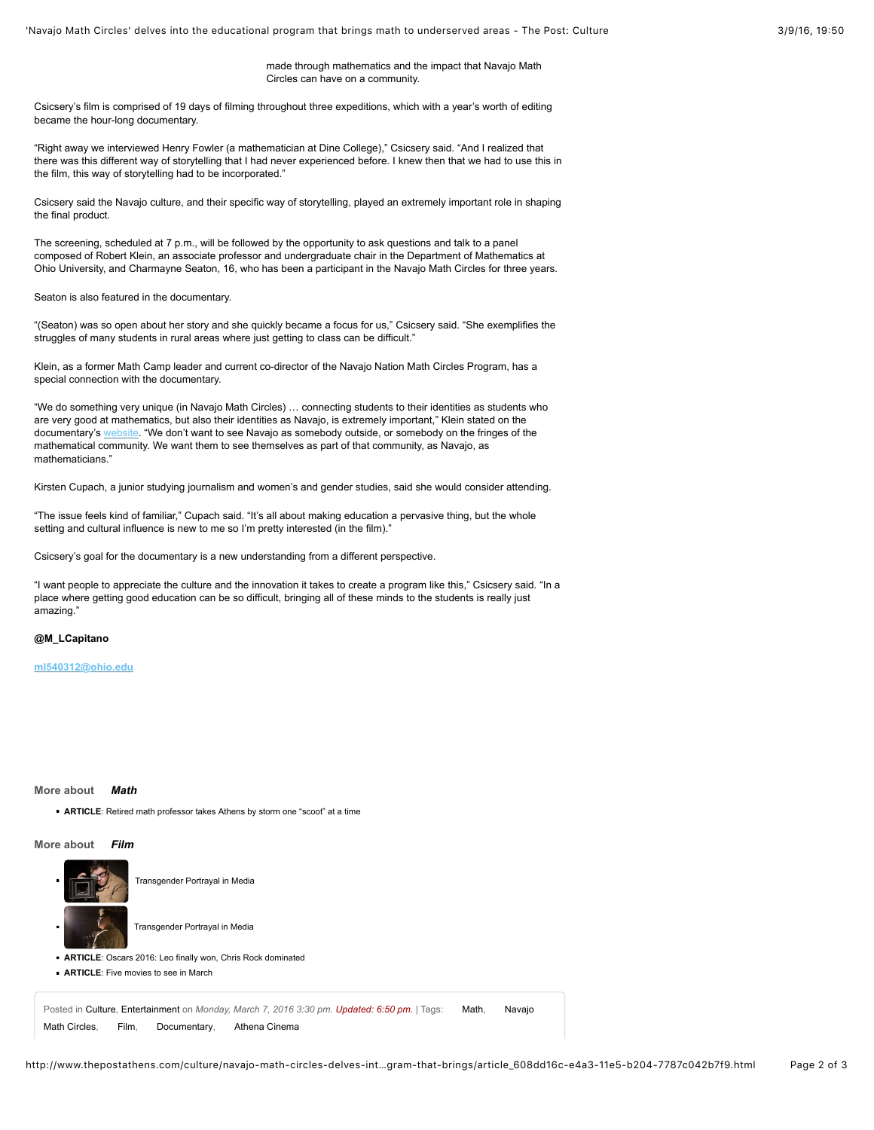made through mathematics and the impact that Navajo Math Circles can have on a community.

Csicsery's film is comprised of 19 days of filming throughout three expeditions, which with a year's worth of editing became the hour-long documentary.

"Right away we interviewed Henry Fowler (a mathematician at Dine College)," Csicsery said. "And I realized that there was this different way of storytelling that I had never experienced before. I knew then that we had to use this in the film, this way of storytelling had to be incorporated."

Csicsery said the Navajo culture, and their specific way of storytelling, played an extremely important role in shaping the final product.

The screening, scheduled at 7 p.m., will be followed by the opportunity to ask questions and talk to a panel composed of Robert Klein, an associate professor and undergraduate chair in the Department of Mathematics at Ohio University, and Charmayne Seaton, 16, who has been a participant in the Navajo Math Circles for three years.

Seaton is also featured in the documentary.

"(Seaton) was so open about her story and she quickly became a focus for us," Csicsery said. "She exemplifies the struggles of many students in rural areas where just getting to class can be difficult."

Klein, as a former Math Camp leader and current co-director of the Navajo Nation Math Circles Program, has a special connection with the documentary.

"We do something very unique (in Navajo Math Circles) … connecting students to their identities as students who are very good at mathematics, but also their identities as Navajo, is extremely important," Klein stated on the documentary's [website](http://www.zalafilms.com/navajo/about.html). "We don't want to see Navajo as somebody outside, or somebody on the fringes of the mathematical community. We want them to see themselves as part of that community, as Navajo, as mathematicians."

Kirsten Cupach, a junior studying journalism and women's and gender studies, said she would consider attending.

"The issue feels kind of familiar," Cupach said. "It's all about making education a pervasive thing, but the whole setting and cultural influence is new to me so I'm pretty interested (in the film)."

Csicsery's goal for the documentary is a new understanding from a different perspective.

"I want people to appreciate the culture and the innovation it takes to create a program like this," Csicsery said. "In a place where getting good education can be so difficult, bringing all of these minds to the students is really just amazing."

**@M\_LCapitano**

**[ml540312@ohio.edu](mailto:ml540312@ohio.edu)**

### **More about** *[Math](http://www.thepostathens.com/topic/?q=%22math%22&t=&l=25&d=&d1=&d2=&f=html&s=&sd=desc&s=start_time)*

**ARTICLE**: [Retired math professor takes Athens by storm one "scoot" at a time](http://www.thepostathens.com/culture/retired-math-professor-takes-athens-by-storm-one-scoot-at/article_cefa69be-7908-11e5-87ca-779b7f1602fb.html)

### **More about** *[Film](http://www.thepostathens.com/topic/?q=%22film%22&t=&l=25&d=&d1=&d2=&f=html&s=&sd=desc&s=start_time)*



**ARTICLE**: [Five movies to see in March](http://www.thepostathens.com/blogs/five-movies-to-see-in-march/article_8e4d2418-d5a3-11e5-9f6e-671b422db4dd.html)

Posted in [Culture,](http://www.thepostathens.com/culture) [Entertainment](http://www.thepostathens.com/culture/entertainment) on Monday, March 7, 2016 3:30 pm. Updated: 6:50 pm. | Tags: [Math,](http://www.thepostathens.com/search/?q=%22math%22&t=&l=25&d=&d1=&d2=&f=html&s=&sd=desc&s=start_time) Navajo

[Math Circles, Film, Documentary, Athena Cinema](http://www.thepostathens.com/search/?q=%22navajo%20math%20circles%22&t=&l=25&d=&d1=&d2=&f=html&s=&sd=desc&s=start_time)